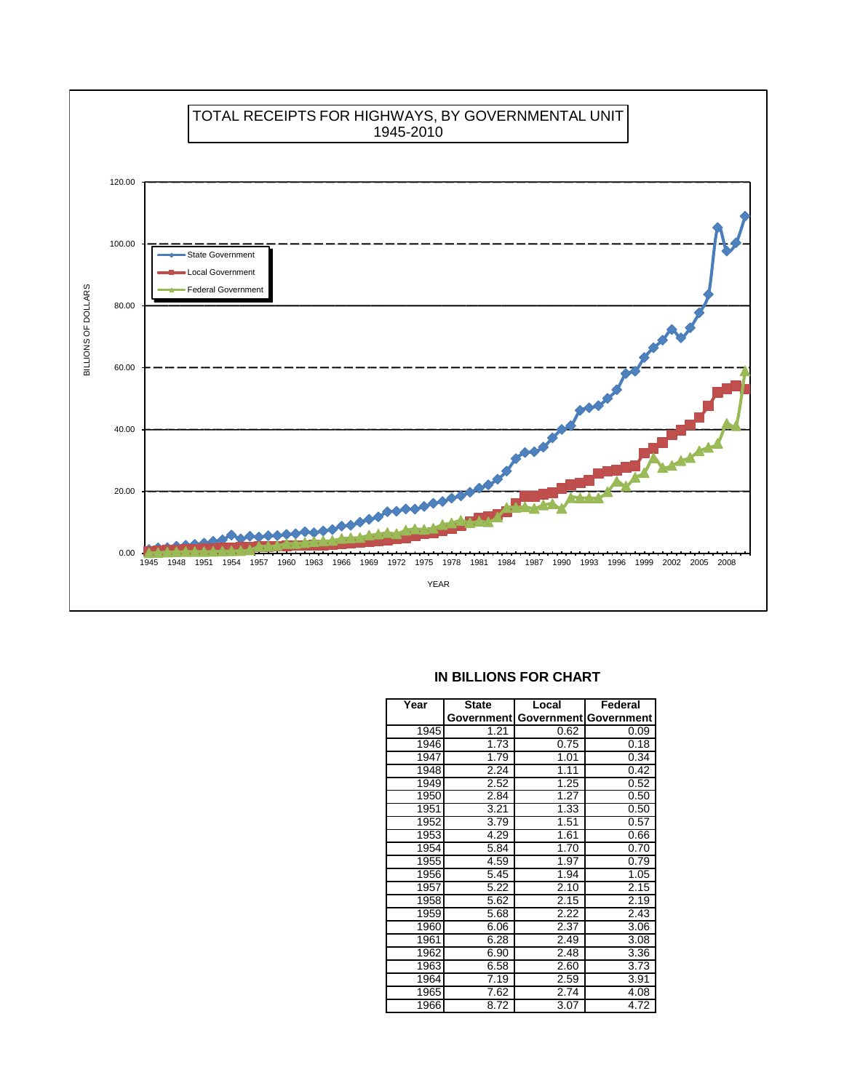



## **IN BILLIONS FOR CHART**

| Year | <b>State</b> | Local | Federal               |
|------|--------------|-------|-----------------------|
|      | Government   |       | Government Government |
| 1945 | 1.21         | 0.62  | 0.09                  |
| 1946 | 1.73         | 0.75  | 0.18                  |
| 1947 | 1.79         | 1.01  | 0.34                  |
| 1948 | 2.24         | 1.11  | 0.42                  |
| 1949 | 2.52         | 1.25  | 0.52                  |
| 1950 | 2.84         | 1.27  | 0.50                  |
| 1951 | 3.21         | 1.33  | 0.50                  |
| 1952 | 3.79         | 1.51  | 0.57                  |
| 1953 | 4.29         | 1.61  | 0.66                  |
| 1954 | 5.84         | 1.70  | 0.70                  |
| 1955 | 4.59         | 1.97  | 0.79                  |
| 1956 | 5.45         | 1.94  | 1.05                  |
| 1957 | 5.22         | 2.10  | 2.15                  |
| 1958 | 5.62         | 2.15  | 2.19                  |
| 1959 | 5.68         | 2.22  | 2.43                  |
| 1960 | 6.06         | 2.37  | 3.06                  |
| 1961 | 6.28         | 2.49  | 3.08                  |
| 1962 | 6.90         | 2.48  | 3.36                  |
| 1963 | 6.58         | 2.60  | 3.73                  |
| 1964 | 7.19         | 2.59  | 3.91                  |
| 1965 | 7.62         | 2.74  | 4.08                  |
| 1966 | 8.72         | 3.07  | 4.72                  |